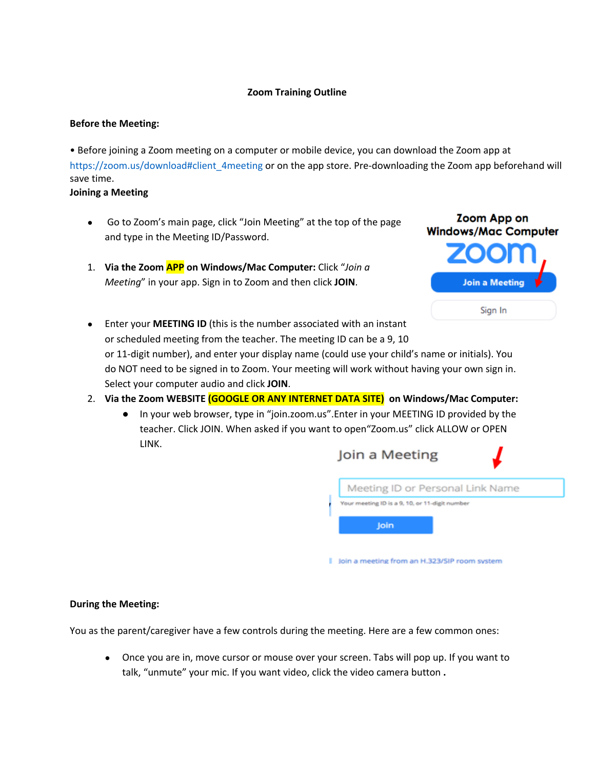# **Zoom Training Outline**

### **Before the Meeting:**

• Before joining a Zoom meeting on a computer or mobile device, you can download the Zoom app at https://zoom.us/download#client\_4meeting or on the app store. Pre-downloading the Zoom app beforehand will save time.

**Joining a Meeting** 

- Go to Zoom's main page, click "Join Meeting" at the top of the page and type in the Meeting ID/Password.
- 1. **Via the Zoom APP on Windows/Mac Computer:** Click "*Join a Meeting*" in your app. Sign in to Zoom and then click **JOIN**.



- Enter your **MEETING ID** (this is the number associated with an instant or scheduled meeting from the teacher. The meeting ID can be a 9, 10 or 11-digit number), and enter your display name (could use your child's name or initials). You do NOT need to be signed in to Zoom. Your meeting will work without having your own sign in. Select your computer audio and click **JOIN**.
- 2. **Via the Zoom WEBSITE (GOOGLE OR ANY INTERNET DATA SITE) on Windows/Mac Computer:**
	- In your web browser, type in "join.zoom.us".Enter in your MEETING ID provided by the teacher. Click JOIN. When asked if you want to open"Zoom.us" click ALLOW or OPEN LINK.

| Join a Meeting                                 |  |
|------------------------------------------------|--|
| Meeting ID or Personal Link Name               |  |
| Your meeting ID is a 9, 10, or 11-digit number |  |
| Join                                           |  |
|                                                |  |
| loin a meeting from an H.323/SIP room system   |  |

# **During the Meeting:**

You as the parent/caregiver have a few controls during the meeting. Here are a few common ones:

● Once you are in, move cursor or mouse over your screen. Tabs will pop up. If you want to talk, "unmute" your mic. If you want video, click the video camera button **.**